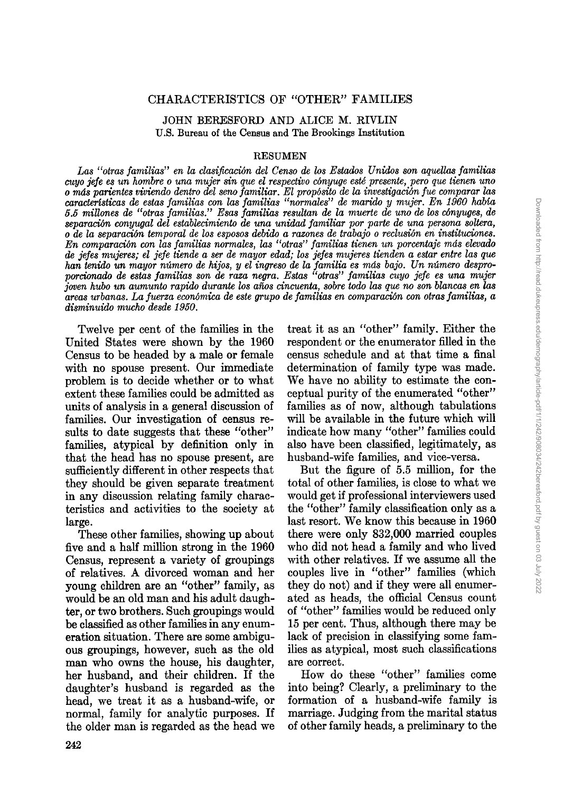## CHARACTERISTICS OF "OTHER" FAMILIES

JOHN BERESFORD AND ALICE M. RIVLIN U.S. Bureau of the Census and The Brookings Institution

## RESUMEN

*Las "otras familias" en la clasificaci6n del Censo de los Estados Unidos son aquellasfamilias cuyo jefe es un hombre 0 una mujer sin que el respectivo c6nyuge esw presenie, pero que tienen uno o mas parientes viviendo dentro del seno familiar. El prop6sito de la investigaci6n [ue comparar las caracteristicas de estas familias con las familias "normales" de marido y mujer. En 1960 habio 5.5 millones de "otras familias." Esas familias resultan de la muerte de uno de los c6nyuges, de separaci6n conyugal del establecimiento* de *una unidad familiar por parte de una persona soltera, o de la separaci6n temporal de los esposos debido a rezones de trabajo* 0 *reclusi6n en instituciones. En comparaci6n con las familias normales, las "otras" familias tienen un porcentaje mas elevado de jefes mujeres; el jefe tiende a ser de mayor edad; los jefes mujeres tienden a estar entre las que han tenido un mayor numero de hijos, y el ingreso de la familia es mas bajo. Un numero desproporcionado de estas familias son de raza negra. Estas "otras" familias cuyo jefe es una mujer joven hubo un aumunto rapido durante los afios cincuenta, sobretodo las que no son blancas en las areas urbanas. La fuerza econ6mica de este grupo de familias en comparaci6n con otrasfamilias, a disminuido mucho desde 1950.*

Twelve per cent of the families in the United States were shown by the 1960 Census to be headed by a male or female with no spouse present. Our immediate problem is to decide whether or to what extent these families could be admitted as units of analysis in a general discussion of families. Our investigation of census results to date suggests that these "other" families, atypical by definition only in that the head has no spouse present, are sufficiently different in other respects that they should be given separate treatment in any discussion relating family characteristics and activities to the society at large.

These other families, showing up about five and a half million strong in the 1960 Census, represent a variety of groupings of relatives. A divorced woman and her young children are an "other" family, as would be an old man and his adult daughter, or two brothers. Such groupings would be classified as other families in any enumeration situation. There are some ambiguous groupings, however, such as the old man who owns the house, his daughter, her husband, and their children. If the daughter's husband is regarded as the head, we treat it as a husband-wife, or normal, family for analytic purposes. If the older man is regarded as the head we

treat it as an "other" family. Either the respondent or the enumerator filled in the census schedule and at that time a final determination of family type was made. We have no ability to estimate the conceptual purity of the enumerated "other" families as of now, although tabulations will be available in the future which will indicate how many "other" families could also have been classified, legitimately, as husband-wife families, and vice-versa.

But the figure of 5.5 million, for the total of other families, is close to what we would get if professional interviewers used the "other" family classification only as a last resort. We know this because in 1960 there were only 832,000 married couples who did not head a family and who lived with other relatives. If we assume all the couples live in "other" families (which they do not) and if they were all enumerated as heads, the official Census count of "other" families would be reduced only 15 per cent. Thus, although there may be lack of precision in classifying some families as atypical, most such classifications are correct.

How do these "other" families come into being? Clearly, a preliminary to the formation of a husband-wife family is marriage. Judging from the marital status of other family heads, a preliminary to the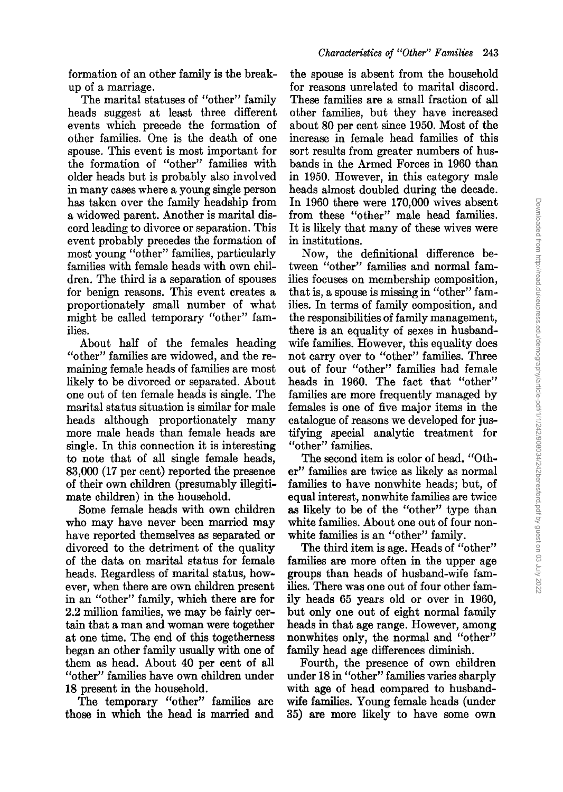formation of an other family is the breakup of a marriage.

The marital statuses of "other" family heads suggest at least three different events which precede the formation of other families. One is the death of one spouse. This event is most important for the formation of "other" families with older heads but is probably also involved in many cases where a young single person has taken over the family headship from a widowed parent. Another is marital discord leading to divorce or separation. This event probably precedes the formation of most young "other" families, particularly families with female heads with own children. The third is a separation of spouses for benign reasons. This event creates a proportionately small number of what might be called temporary "other" families.

About half of the females heading "other" families are widowed, and the remaining female heads of families are most likely to be divorced or separated. About one out of ten female heads is single. The marital status situation is similar for male heads although proportionately many more male heads than female heads are single. In this connection it is interesting to note that of all single female heads, 83,000 (17 per cent) reported the presence of their own children (presumably illegitimate children) in the household.

Some female heads with own children who may have never been married may have reported themselves as separated or divorced to the detriment of the quality of the data on marital status for female heads. Regardless of marital status, however, when there are own children present in an "other" family, which there are for 2.2 million families, we may be fairly certain that a man and woman were together at one time. The end of this togetherness began an other family usually with one of them as head. About 40 per cent of all "other" families have own children under 18 present in the household.

The temporary "other" families are those in which the head is married and the spouse is absent from the household for reasons unrelated to marital discord. These families are a small fraction of all other families, but they have increased about 80 per cent since 1950. Most of the increase in female head families of this sort results from greater numbers of husbands in the Armed Forces in 1960 than in 1950. However, in this category male heads almost doubled during the decade. In 1960 there were 170,000 wives absent from these "other" male head families. It is likely that many of these wives were in institutions.

Now, the definitional difference between "other" families and normal families focuses on membership composition, that is, a spouse is missing in "other" families. In terms of family composition, and the responsibilities of family management, there is an equality of sexes in husbandwife families. However, this equality does not carry over to "other" families. Three out of four "other" families had female heads in 1960. The fact that "other" families are more frequently managed by females is one of five major items in the catalogue of reasons we developed for justifying special analytic treatment for "other" families.

The second item is color of head. "Other" families are twice as likely as normal families to have nonwhite heads; but, of equal interest, nonwhite families are twice as likely to be of the "other" type than white families. About one out of four nonwhite families is an "other" family.

The third item is age. Heads of "other" families are more often in the upper age groups than heads of husband-wife families. There was one out of four other family heads 65 years old or over in 1960, but only one out of eight normal family heads in that age range. However, among nonwhites only, the normal and "other" family head age differences diminish.

Fourth, the presence of own children under 18 in "other" families varies sharply with age of head compared to husbandwife families. Young female heads (under 35) are more likely to have some own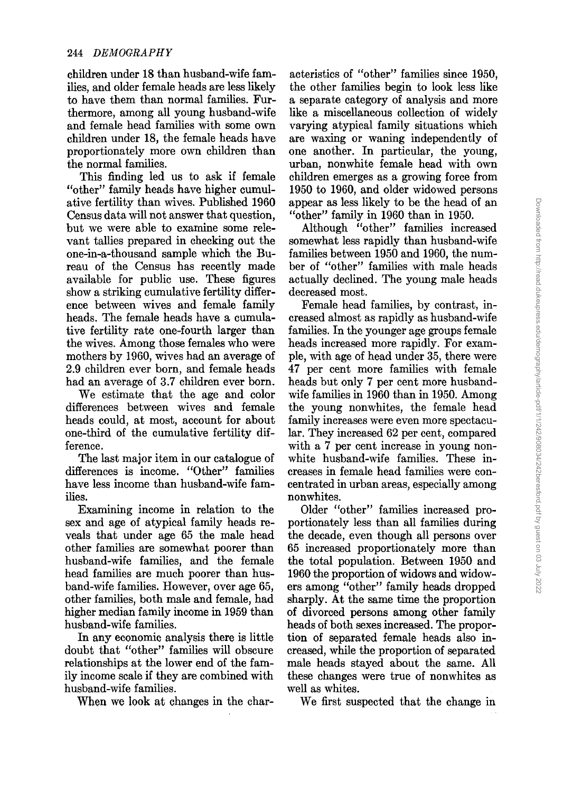children under 18 than husband-wife families, and older female heads are less likely to have them than normal families. Furthermore, among all young husband-wife and female head families with some own children under 18, the female heads have proportionately more own children than the normal families.

This finding led us to ask if female "other" family heads have higher cumulative fertility than wives. Published 1960 Census data will not answer that question, but we were able to examine some relevant tallies prepared in checking out the one-in-a-thousand sample which the Bureau of the Census has recently made available for public use. These figures show a striking cumulative fertility difference between wives and female family heads. The female heads have a cumulative fertility rate one-fourth larger than the wives. Among those females who were mothers by 1960, wives had an average of 2.9 children ever born, and female heads had an average of 3.7 children ever born.

We estimate that the age and color differences between wives and female heads could, at most, account for about one-third of the cumulative fertility difference.

The last major item in our catalogue of differences is income. "Other" families have less income than husband-wife families.

Examining income in relation to the sex and age of atypical family heads reveals that under age 65 the male head other families are somewhat poorer than husband-wife families, and the female head families are much poorer than husband-wife families. However, over age 65, other families, both male and female, had higher median family income in 1959 than husband-wife families.

In any economic analysis there is little doubt that "other" families will obscure relationships at the lower end of the family income scale if they are combined with husband-wife families.

When we look at changes in the char-

acteristics of "other" families since 1950, the other families begin to look less like a separate category of analysis and more like a miscellaneous collection of widely varying atypical family situations which are waxing or waning independently of one another. In particular, the young, urban, nonwhite female head with own children emerges as a growing force from 1950 to 1960, and older widowed persons appear as less likely to be the head of an "other" family in 1960 than in 1950.

Although "other" families increased somewhat less rapidly than husband-wife families between 1950 and 1960, the number of "other" families with male heads actually declined. The young male heads decreased most.

Female head families, by contrast, increased almost as rapidly as husband-wife families. In the younger age groups female heads increased more rapidly. For example, with age of head under 35, there were 47 per cent more families with female heads but only 7 per cent more husbandwife families in 1960 than in 1950. Among the young nonwhites, the female head family increases were even more spectacular. They increased 62 per cent, compared with a 7 per cent increase in young nonwhite husband-wife families. These increases in female head families were concentrated in urban areas, especially among nonwhites.

Older "other" families increased proportionately less than all families during the decade, even though all persons over 65 increased proportionately more than the total population. Between 1950 and 1960 the proportion of widows and widowers among "other" family heads dropped sharply. At the same time the proportion of divorced persons among other family heads of both sexes increased. The proportion of separated female heads also increased, while the proportion of separated male heads stayed about the same. All these changes were true of nonwhites as well as whites.

We first suspected that the change in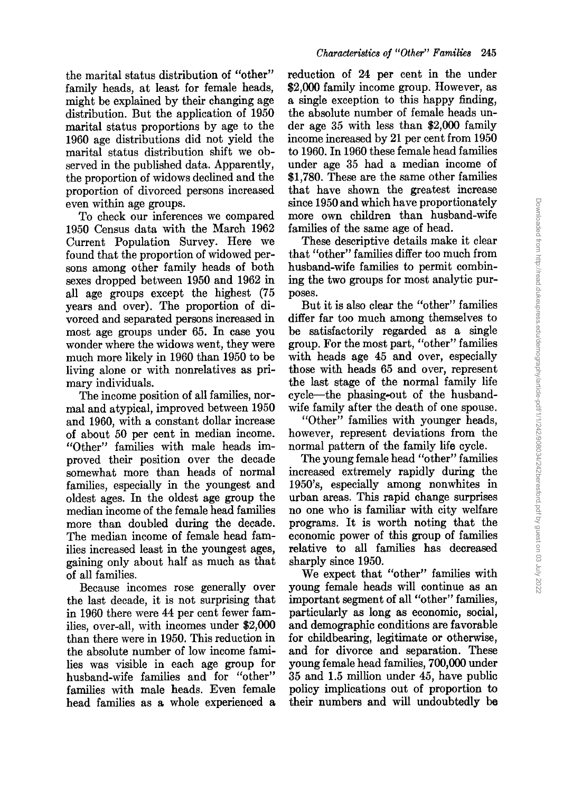the marital status distribution of "other" family heads, at least for female heads, might be explained by their changing age distribution. But the application of 1950 marital status proportions by age to the 1960 age distributions did not yield the marital status distribution shift we observed in the published data. Apparently, the proportion of widows declined and the

even within age groups. To check our inferences we compared 1950 Census data with the March 1962 Current Population Survey. Here we found that the proportion of widowed persons among other family heads of both sexes dropped between 1950 and 1962 in all age groups except the highest (75 years and over). The proportion of divorced and separated persons increased in most age groups under 65. In case you wonder where the widows went, they were much more likely in 1960 than 1950 to be living alone or with nonrelatives as primary individuals.

proportion of divorced persons increased

The income position of all families, normal and atypical, improved between 1950 and 1960, with a constant dollar increase of about 50 per cent in median income. "Other" families with male heads improved their position over the decade somewhat more than heads of normal families, especially in the youngest and oldest ages. In the oldest age group the median income of the female head families more than doubled during the decade. The median income of female head families increased least in the youngest ages, gaining only about half as much as that of all families.

Because incomes rose generally over the last decade, it is not surprising that in 1960 there were 44 per cent fewer families, over-all, with incomes under \$2,000 than there were in 1950. This reduction in the absolute number of low income families was visible in each age group for husband-wife families and for "other" families with male heads. Even female head families as a whole experienced a reduction of 24 per cent in the under \$2,000 family income group. However, as a single exception to this happy finding, the absolute number of female heads under age 35 with less than \$2,000 family income increased by 21 per cent from 1950 to 1960. In 1960 these female head families under age 35 had a median income of \$1,780. These are the same other families that have shown the greatest increase since 1950 and which have proportionately more own children than husband-wife families of the same age of head.

These descriptive details make it clear that "other" families differ too much from husband-wife families to permit combining the two groups for most analytic purposes.

But it is also clear the "other" families differ far too much among themselves to be satisfactorily regarded as a single group. For the most part, "other" families with heads age 45 and over, especially those with heads 65 and over, represent the last stage of the normal family life cycle-the phasing-out of the husbandwife family after the death of one spouse.

"Other" families with younger heads, however, represent deviations from the normal pattern of the family life cycle.

The young female head "other" families increased extremely rapidly during the 1950's, especially among nonwhites in urban areas. This rapid change surprises no one who is familiar with city welfare programs. It is worth noting that the economic power of this group of families relative to all families has decreased sharply since 1950.

We expect that "other" families with young female heads will continue as an important segment of all "other" families, particularly as long as economic, social, and demographic conditions are favorable for childbearing, legitimate or otherwise, and for divorce and separation. These young female head families, 700,000under 35 and 1.5 million under 45, have public policy implications out of proportion to their numbers and will undoubtedly be